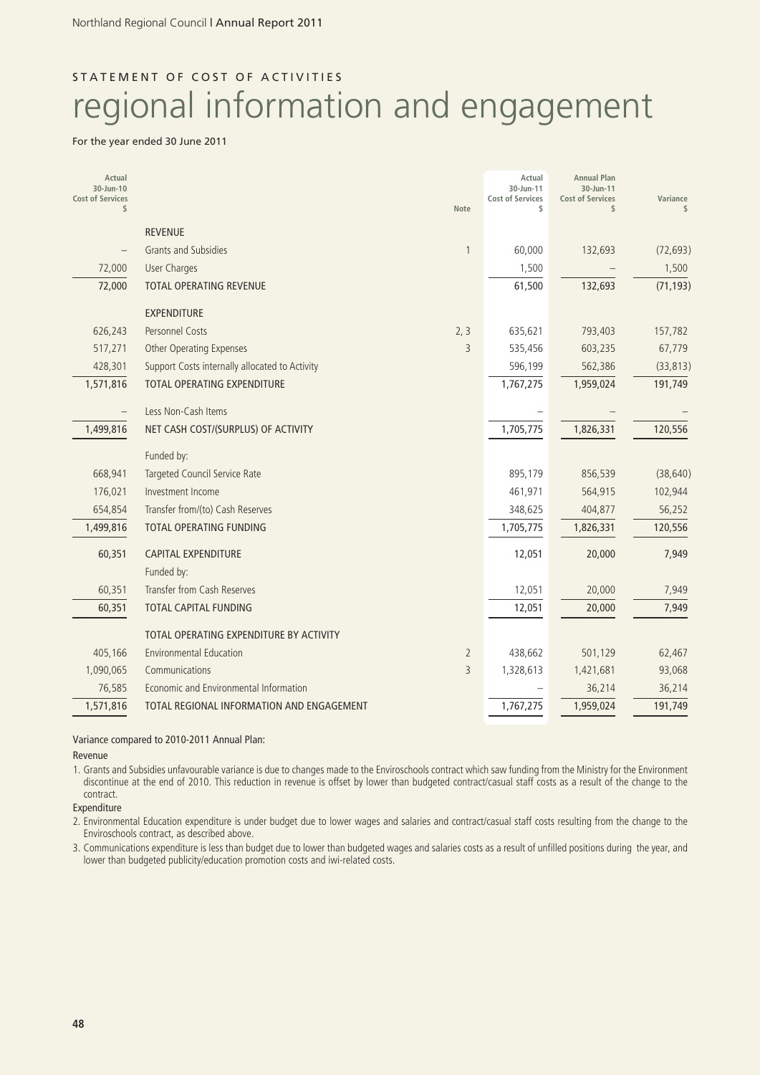# STATEMENT OF COST OF ACTIVITIES regional information and engagement

#### For the year ended 30 June 2011

| Actual<br>30-Jun-10<br><b>Cost of Services</b><br>\$ |                                                | <b>Note</b>    | Actual<br>30-Jun-11<br><b>Cost of Services</b><br>\$ | <b>Annual Plan</b><br>30-Jun-11<br><b>Cost of Services</b><br>$\frac{1}{2}$ | Variance<br>\$ |
|------------------------------------------------------|------------------------------------------------|----------------|------------------------------------------------------|-----------------------------------------------------------------------------|----------------|
|                                                      | <b>REVENUE</b>                                 |                |                                                      |                                                                             |                |
|                                                      | <b>Grants and Subsidies</b>                    | 1              | 60,000                                               | 132,693                                                                     | (72, 693)      |
| 72,000                                               | <b>User Charges</b>                            |                | 1,500                                                |                                                                             | 1,500          |
| 72,000                                               | <b>TOTAL OPERATING REVENUE</b>                 |                | 61,500                                               | 132,693                                                                     | (71, 193)      |
|                                                      | <b>EXPENDITURE</b>                             |                |                                                      |                                                                             |                |
| 626,243                                              | Personnel Costs                                | 2, 3           | 635,621                                              | 793,403                                                                     | 157,782        |
| 517,271                                              | <b>Other Operating Expenses</b>                | 3              | 535,456                                              | 603,235                                                                     | 67,779         |
| 428,301                                              | Support Costs internally allocated to Activity |                | 596,199                                              | 562,386                                                                     | (33, 813)      |
| 1,571,816                                            | <b>TOTAL OPERATING EXPENDITURE</b>             |                | 1,767,275                                            | 1,959,024                                                                   | 191,749        |
|                                                      | Less Non-Cash Items                            |                |                                                      |                                                                             |                |
| 1,499,816                                            | NET CASH COST/(SURPLUS) OF ACTIVITY            |                | 1,705,775                                            | 1,826,331                                                                   | 120,556        |
|                                                      | Funded by:                                     |                |                                                      |                                                                             |                |
| 668,941                                              | Targeted Council Service Rate                  |                | 895,179                                              | 856,539                                                                     | (38, 640)      |
| 176,021                                              | Investment Income                              |                | 461,971                                              | 564,915                                                                     | 102,944        |
| 654,854                                              | Transfer from/(to) Cash Reserves               |                | 348,625                                              | 404,877                                                                     | 56,252         |
| 1,499,816                                            | TOTAL OPERATING FUNDING                        |                | 1,705,775                                            | 1,826,331                                                                   | 120,556        |
| 60,351                                               | <b>CAPITAL EXPENDITURE</b>                     |                | 12,051                                               | 20,000                                                                      | 7,949          |
|                                                      | Funded by:                                     |                |                                                      |                                                                             |                |
| 60,351                                               | <b>Transfer from Cash Reserves</b>             |                | 12,051                                               | 20,000                                                                      | 7,949          |
| 60,351                                               | <b>TOTAL CAPITAL FUNDING</b>                   |                | 12,051                                               | 20,000                                                                      | 7,949          |
|                                                      | TOTAL OPERATING EXPENDITURE BY ACTIVITY        |                |                                                      |                                                                             |                |
| 405,166                                              | <b>Environmental Education</b>                 | $\overline{2}$ | 438,662                                              | 501,129                                                                     | 62,467         |
| 1,090,065                                            | Communications                                 | 3              | 1,328,613                                            | 1,421,681                                                                   | 93,068         |
| 76,585                                               | Economic and Environmental Information         |                |                                                      | 36,214                                                                      | 36,214         |
| 1,571,816                                            | TOTAL REGIONAL INFORMATION AND ENGAGEMENT      |                | 1,767,275                                            | 1,959,024                                                                   | 191,749        |

## Variance compared to 2010-2011 Annual Plan:

Revenue

1. Grants and Subsidies unfavourable variance is due to changes made to the Enviroschools contract which saw funding from the Ministry for the Environment discontinue at the end of 2010. This reduction in revenue is offset by lower than budgeted contract/casual staff costs as a result of the change to the contract.

Expenditure

2. Environmental Education expenditure is under budget due to lower wages and salaries and contract/casual staff costs resulting from the change to the Enviroschools contract, as described above.

3. Communications expenditure is less than budget due to lower than budgeted wages and salaries costs as a result of unfilled positions during the year, and lower than budgeted publicity/education promotion costs and iwi-related costs.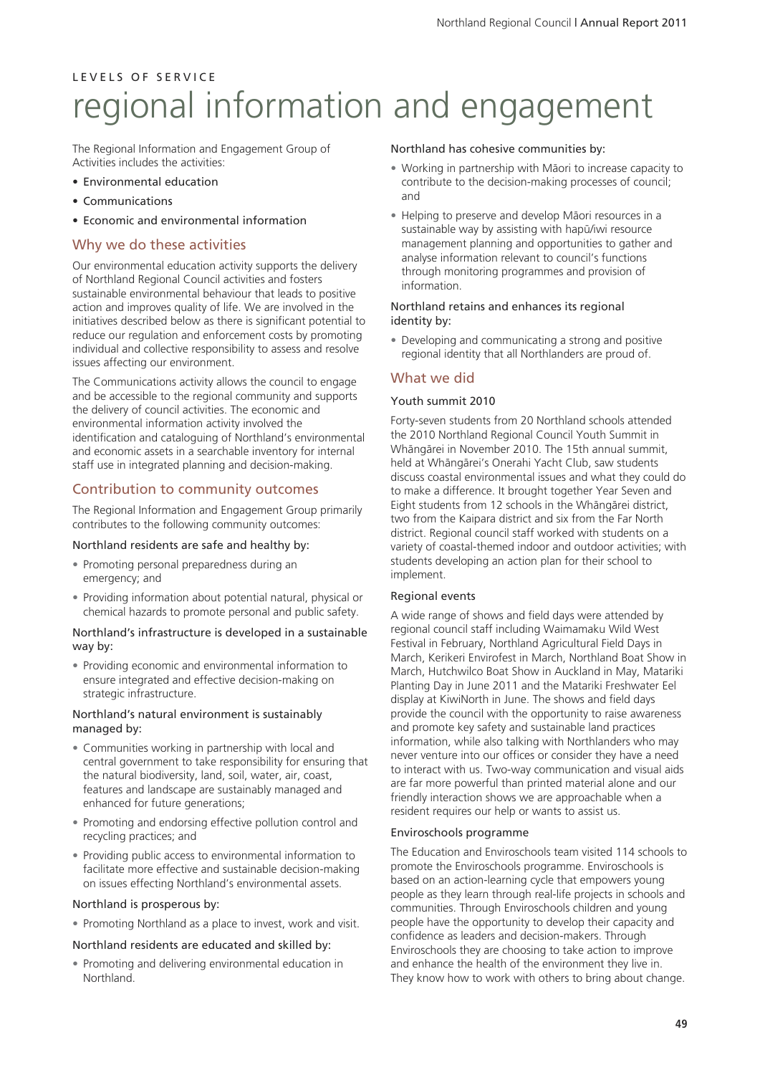The Regional Information and Engagement Group of Activities includes the activities:

- Environmental education
- Communications
- Economic and environmental information

## Why we do these activities

Our environmental education activity supports the delivery of Northland Regional Council activities and fosters sustainable environmental behaviour that leads to positive action and improves quality of life. We are involved in the initiatives described below as there is significant potential to reduce our regulation and enforcement costs by promoting individual and collective responsibility to assess and resolve issues affecting our environment.

The Communications activity allows the council to engage and be accessible to the regional community and supports the delivery of council activities. The economic and environmental information activity involved the identification and cataloguing of Northland's environmental and economic assets in a searchable inventory for internal staff use in integrated planning and decision-making.

## Contribution to community outcomes

The Regional Information and Engagement Group primarily contributes to the following community outcomes:

### Northland residents are safe and healthy by:

- Promoting personal preparedness during an emergency; and
- Providing information about potential natural, physical or chemical hazards to promote personal and public safety.

### Northland's infrastructure is developed in a sustainable way by:

• Providing economic and environmental information to ensure integrated and effective decision-making on strategic infrastructure.

#### Northland's natural environment is sustainably managed by:

- Communities working in partnership with local and central government to take responsibility for ensuring that the natural biodiversity, land, soil, water, air, coast, features and landscape are sustainably managed and enhanced for future generations;
- Promoting and endorsing effective pollution control and recycling practices; and
- Providing public access to environmental information to facilitate more effective and sustainable decision-making on issues effecting Northland's environmental assets.

### Northland is prosperous by:

• Promoting Northland as a place to invest, work and visit.

### Northland residents are educated and skilled by:

• Promoting and delivering environmental education in Northland.

## Northland has cohesive communities by:

- Working in partnership with Mäori to increase capacity to contribute to the decision-making processes of council; and
- Helping to preserve and develop Mäori resources in a sustainable way by assisting with hapü/iwi resource management planning and opportunities to gather and analyse information relevant to council's functions through monitoring programmes and provision of information.

### Northland retains and enhances its regional identity by:

• Developing and communicating a strong and positive regional identity that all Northlanders are proud of.

## What we did

## Youth summit 2010

Forty-seven students from 20 Northland schools attended the 2010 Northland Regional Council Youth Summit in Whängärei in November 2010. The 15th annual summit, held at Whängärei's Onerahi Yacht Club, saw students discuss coastal environmental issues and what they could do to make a difference. It brought together Year Seven and Eight students from 12 schools in the Whängärei district, two from the Kaipara district and six from the Far North district. Regional council staff worked with students on a variety of coastal-themed indoor and outdoor activities; with students developing an action plan for their school to implement.

## Regional events

A wide range of shows and field days were attended by regional council staff including Waimamaku Wild West Festival in February, Northland Agricultural Field Days in March, Kerikeri Envirofest in March, Northland Boat Show in March, Hutchwilco Boat Show in Auckland in May, Matariki Planting Day in June 2011 and the Matariki Freshwater Eel display at KiwiNorth in June. The shows and field days provide the council with the opportunity to raise awareness and promote key safety and sustainable land practices information, while also talking with Northlanders who may never venture into our offices or consider they have a need to interact with us. Two-way communication and visual aids are far more powerful than printed material alone and our friendly interaction shows we are approachable when a resident requires our help or wants to assist us.

### Enviroschools programme

The Education and Enviroschools team visited 114 schools to promote the Enviroschools programme. Enviroschools is based on an action-learning cycle that empowers young people as they learn through real-life projects in schools and communities. Through Enviroschools children and young people have the opportunity to develop their capacity and confidence as leaders and decision-makers. Through Enviroschools they are choosing to take action to improve and enhance the health of the environment they live in. They know how to work with others to bring about change.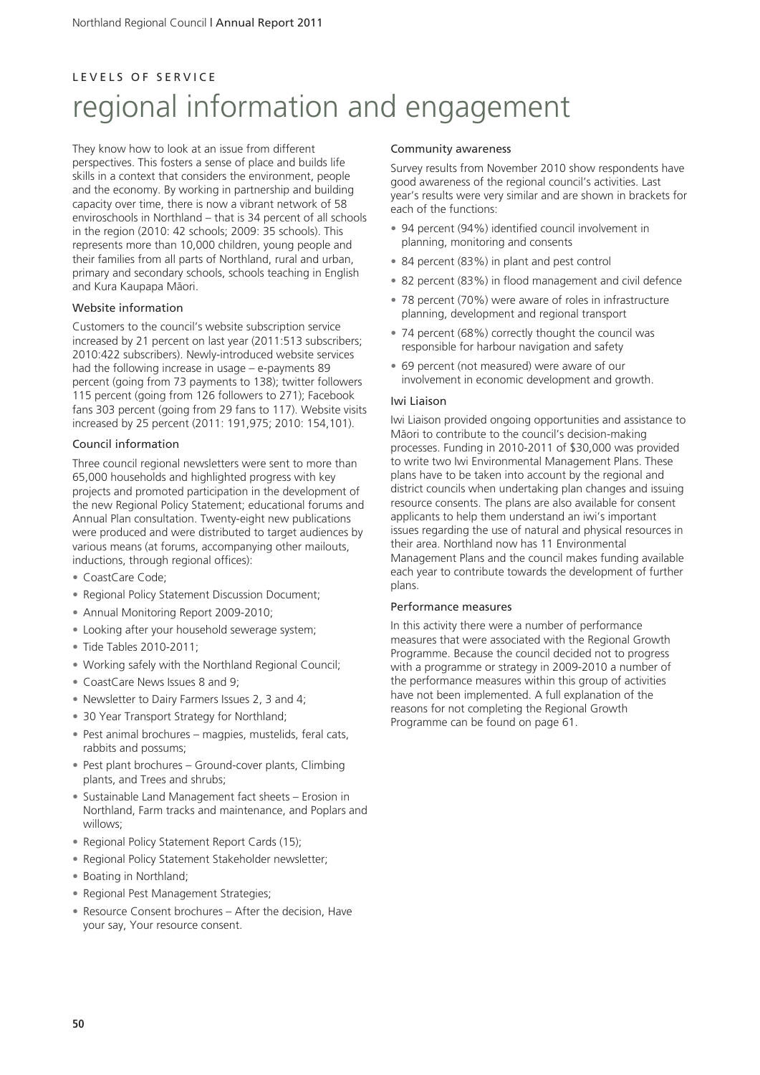# L E V E L S O F S E R V I C E regional information and engagement

They know how to look at an issue from different perspectives. This fosters a sense of place and builds life skills in a context that considers the environment, people and the economy. By working in partnership and building capacity over time, there is now a vibrant network of 58 enviroschools in Northland – that is 34 percent of all schools in the region (2010: 42 schools; 2009: 35 schools). This represents more than 10,000 children, young people and their families from all parts of Northland, rural and urban, primary and secondary schools, schools teaching in English and Kura Kaupapa Mäori.

### Website information

Customers to the council's website subscription service increased by 21 percent on last year (2011:513 subscribers; 2010:422 subscribers). Newly-introduced website services had the following increase in usage – e-payments 89 percent (going from 73 payments to 138); twitter followers 115 percent (going from 126 followers to 271); Facebook fans 303 percent (going from 29 fans to 117). Website visits increased by 25 percent (2011: 191,975; 2010: 154,101).

#### Council information

Three council regional newsletters were sent to more than 65,000 households and highlighted progress with key projects and promoted participation in the development of the new Regional Policy Statement; educational forums and Annual Plan consultation. Twenty-eight new publications were produced and were distributed to target audiences by various means (at forums, accompanying other mailouts, inductions, through regional offices):

- CoastCare Code;
- Regional Policy Statement Discussion Document;
- Annual Monitoring Report 2009-2010;
- Looking after your household sewerage system;
- Tide Tables 2010-2011;
- Working safely with the Northland Regional Council;
- CoastCare News Issues 8 and 9;
- Newsletter to Dairy Farmers Issues 2, 3 and 4;
- 30 Year Transport Strategy for Northland;
- Pest animal brochures magpies, mustelids, feral cats, rabbits and possums;
- Pest plant brochures Ground-cover plants, Climbing plants, and Trees and shrubs;
- Sustainable Land Management fact sheets Erosion in Northland, Farm tracks and maintenance, and Poplars and willows;
- Regional Policy Statement Report Cards (15);
- Regional Policy Statement Stakeholder newsletter;
- Boating in Northland;
- Regional Pest Management Strategies;
- Resource Consent brochures After the decision, Have your say, Your resource consent.

#### Community awareness

Survey results from November 2010 show respondents have good awareness of the regional council's activities. Last year's results were very similar and are shown in brackets for each of the functions:

- 94 percent (94%) identified council involvement in planning, monitoring and consents
- 84 percent (83%) in plant and pest control
- 82 percent (83%) in flood management and civil defence
- 78 percent (70%) were aware of roles in infrastructure planning, development and regional transport
- 74 percent (68%) correctly thought the council was responsible for harbour navigation and safety
- 69 percent (not measured) were aware of our involvement in economic development and growth.

#### Iwi Liaison

Iwi Liaison provided ongoing opportunities and assistance to Mäori to contribute to the council's decision-making processes. Funding in 2010-2011 of \$30,000 was provided to write two Iwi Environmental Management Plans. These plans have to be taken into account by the regional and district councils when undertaking plan changes and issuing resource consents. The plans are also available for consent applicants to help them understand an iwi's important issues regarding the use of natural and physical resources in their area. Northland now has 11 Environmental Management Plans and the council makes funding available each year to contribute towards the development of further plans.

#### Performance measures

In this activity there were a number of performance measures that were associated with the Regional Growth Programme. Because the council decided not to progress with a programme or strategy in 2009-2010 a number of the performance measures within this group of activities have not been implemented. A full explanation of the reasons for not completing the Regional Growth Programme can be found on page 61.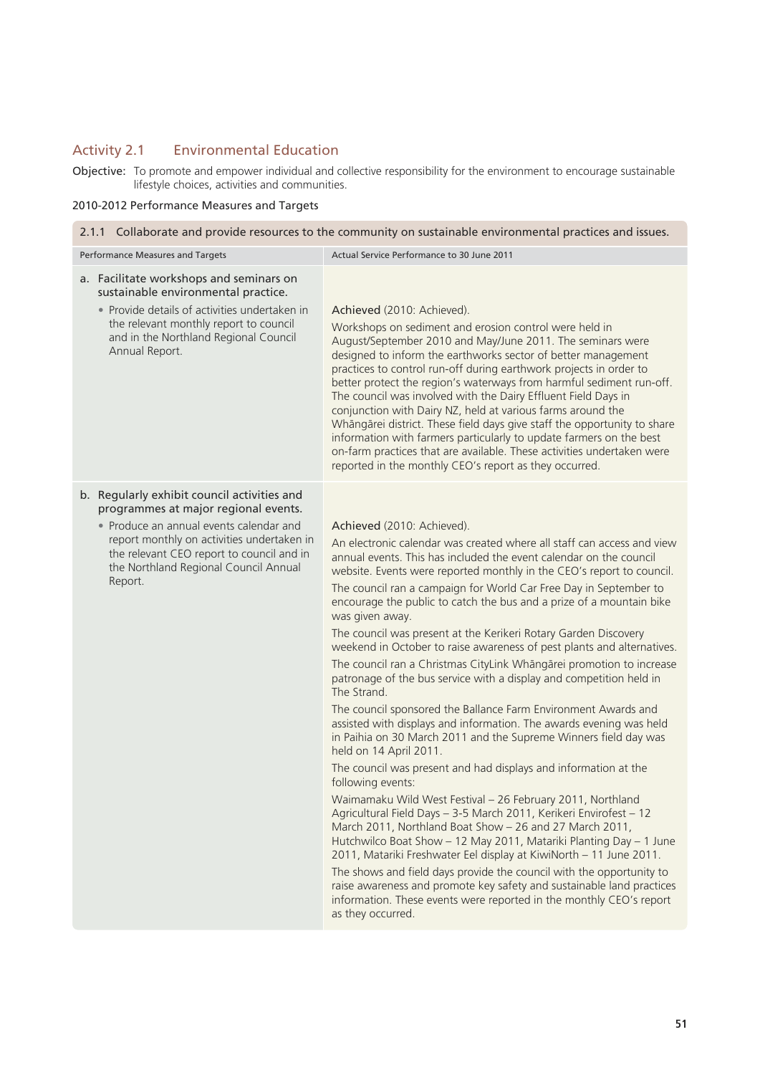# Activity 2.1 Environmental Education

Objective: To promote and empower individual and collective responsibility for the environment to encourage sustainable lifestyle choices, activities and communities.

## 2010-2012 Performance Measures and Targets

| 2.1.1 Collaborate and provide resources to the community on sustainable environmental practices and issues.                                                                                                                                                                   |                                                                                                                                                                                                                                                                                                                                                                                                                                                                                                                                                                                                                                                                                                                                                                                                                                                                                                                                                                                                                                                                                                                                                                                                                                                                                                                                                                                                                                                                                                                                                                                                                                                       |  |  |
|-------------------------------------------------------------------------------------------------------------------------------------------------------------------------------------------------------------------------------------------------------------------------------|-------------------------------------------------------------------------------------------------------------------------------------------------------------------------------------------------------------------------------------------------------------------------------------------------------------------------------------------------------------------------------------------------------------------------------------------------------------------------------------------------------------------------------------------------------------------------------------------------------------------------------------------------------------------------------------------------------------------------------------------------------------------------------------------------------------------------------------------------------------------------------------------------------------------------------------------------------------------------------------------------------------------------------------------------------------------------------------------------------------------------------------------------------------------------------------------------------------------------------------------------------------------------------------------------------------------------------------------------------------------------------------------------------------------------------------------------------------------------------------------------------------------------------------------------------------------------------------------------------------------------------------------------------|--|--|
| Performance Measures and Targets                                                                                                                                                                                                                                              | Actual Service Performance to 30 June 2011                                                                                                                                                                                                                                                                                                                                                                                                                                                                                                                                                                                                                                                                                                                                                                                                                                                                                                                                                                                                                                                                                                                                                                                                                                                                                                                                                                                                                                                                                                                                                                                                            |  |  |
| a. Facilitate workshops and seminars on<br>sustainable environmental practice.<br>• Provide details of activities undertaken in<br>the relevant monthly report to council<br>and in the Northland Regional Council<br>Annual Report.                                          | Achieved (2010: Achieved).<br>Workshops on sediment and erosion control were held in<br>August/September 2010 and May/June 2011. The seminars were<br>designed to inform the earthworks sector of better management<br>practices to control run-off during earthwork projects in order to<br>better protect the region's waterways from harmful sediment run-off.<br>The council was involved with the Dairy Effluent Field Days in<br>conjunction with Dairy NZ, held at various farms around the<br>Whāngārei district. These field days give staff the opportunity to share<br>information with farmers particularly to update farmers on the best<br>on-farm practices that are available. These activities undertaken were<br>reported in the monthly CEO's report as they occurred.                                                                                                                                                                                                                                                                                                                                                                                                                                                                                                                                                                                                                                                                                                                                                                                                                                                             |  |  |
| b. Regularly exhibit council activities and<br>programmes at major regional events.<br>• Produce an annual events calendar and<br>report monthly on activities undertaken in<br>the relevant CEO report to council and in<br>the Northland Regional Council Annual<br>Report. | Achieved (2010: Achieved).<br>An electronic calendar was created where all staff can access and view<br>annual events. This has included the event calendar on the council<br>website. Events were reported monthly in the CEO's report to council.<br>The council ran a campaign for World Car Free Day in September to<br>encourage the public to catch the bus and a prize of a mountain bike<br>was given away.<br>The council was present at the Kerikeri Rotary Garden Discovery<br>weekend in October to raise awareness of pest plants and alternatives.<br>The council ran a Christmas CityLink Whāngārei promotion to increase<br>patronage of the bus service with a display and competition held in<br>The Strand.<br>The council sponsored the Ballance Farm Environment Awards and<br>assisted with displays and information. The awards evening was held<br>in Paihia on 30 March 2011 and the Supreme Winners field day was<br>held on 14 April 2011.<br>The council was present and had displays and information at the<br>following events:<br>Waimamaku Wild West Festival - 26 February 2011, Northland<br>Agricultural Field Days - 3-5 March 2011, Kerikeri Envirofest - 12<br>March 2011, Northland Boat Show - 26 and 27 March 2011,<br>Hutchwilco Boat Show - 12 May 2011, Matariki Planting Day - 1 June<br>2011, Matariki Freshwater Eel display at KiwiNorth - 11 June 2011.<br>The shows and field days provide the council with the opportunity to<br>raise awareness and promote key safety and sustainable land practices<br>information. These events were reported in the monthly CEO's report<br>as they occurred. |  |  |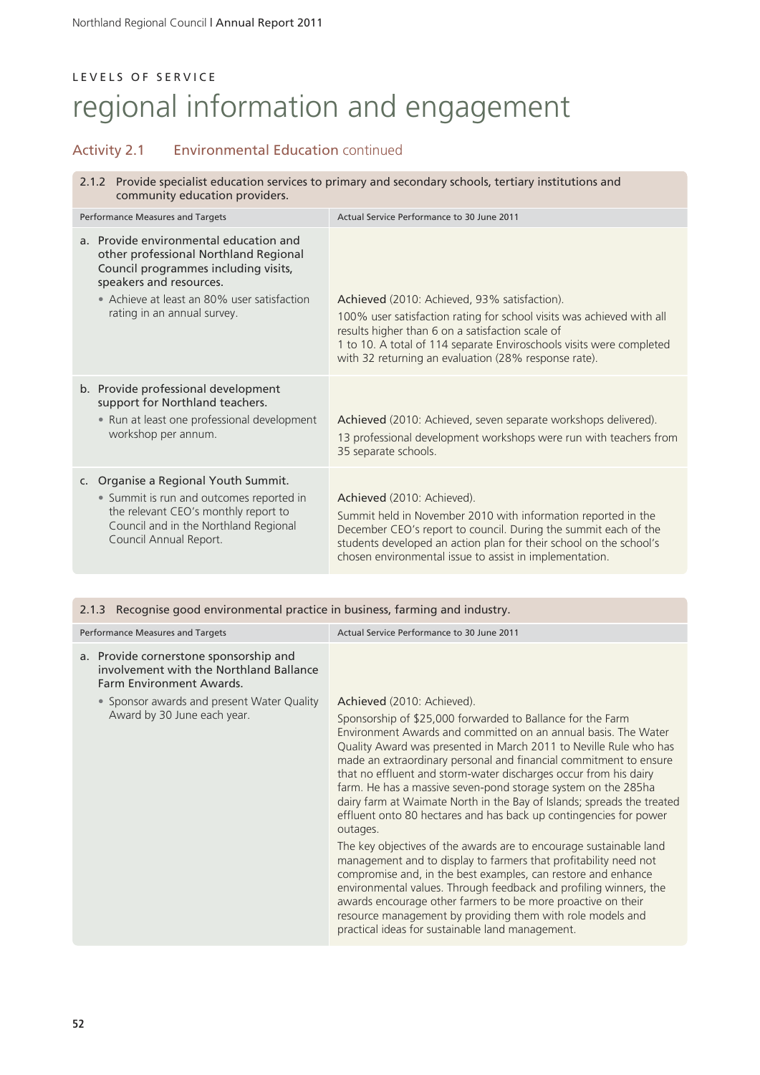## Activity 2.1 Environmental Education continued

2.1.2 Provide specialist education services to primary and secondary schools, tertiary institutions and community education providers.

| Performance Measures and Targets                                                                                                                                                                                                 | Actual Service Performance to 30 June 2011                                                                                                                                                                                                                                                                |  |  |
|----------------------------------------------------------------------------------------------------------------------------------------------------------------------------------------------------------------------------------|-----------------------------------------------------------------------------------------------------------------------------------------------------------------------------------------------------------------------------------------------------------------------------------------------------------|--|--|
| a. Provide environmental education and<br>other professional Northland Regional<br>Council programmes including visits,<br>speakers and resources.<br>• Achieve at least an 80% user satisfaction<br>rating in an annual survey. | Achieved (2010: Achieved, 93% satisfaction).<br>100% user satisfaction rating for school visits was achieved with all<br>results higher than 6 on a satisfaction scale of<br>1 to 10. A total of 114 separate Enviroschools visits were completed<br>with 32 returning an evaluation (28% response rate). |  |  |
| b. Provide professional development<br>support for Northland teachers.<br>• Run at least one professional development<br>workshop per annum.                                                                                     | Achieved (2010: Achieved, seven separate workshops delivered).<br>13 professional development workshops were run with teachers from<br>35 separate schools.                                                                                                                                               |  |  |
| c. Organise a Regional Youth Summit.<br>• Summit is run and outcomes reported in<br>the relevant CEO's monthly report to<br>Council and in the Northland Regional<br>Council Annual Report.                                      | Achieved (2010: Achieved).<br>Summit held in November 2010 with information reported in the<br>December CEO's report to council. During the summit each of the<br>students developed an action plan for their school on the school's<br>chosen environmental issue to assist in implementation.           |  |  |

### 2.1.3 Recognise good environmental practice in business, farming and industry.

| Performance Measures and Targets                                                                              | Actual Service Performance to 30 June 2011                                                                                                                                                                                                                                                                                                                                                                                                                                                                                                                                                                                                                                                                                                                                                                                                                                                                                                                                                                                                                             |
|---------------------------------------------------------------------------------------------------------------|------------------------------------------------------------------------------------------------------------------------------------------------------------------------------------------------------------------------------------------------------------------------------------------------------------------------------------------------------------------------------------------------------------------------------------------------------------------------------------------------------------------------------------------------------------------------------------------------------------------------------------------------------------------------------------------------------------------------------------------------------------------------------------------------------------------------------------------------------------------------------------------------------------------------------------------------------------------------------------------------------------------------------------------------------------------------|
| a. Provide cornerstone sponsorship and<br>involvement with the Northland Ballance<br>Farm Environment Awards. |                                                                                                                                                                                                                                                                                                                                                                                                                                                                                                                                                                                                                                                                                                                                                                                                                                                                                                                                                                                                                                                                        |
| • Sponsor awards and present Water Quality<br>Award by 30 June each year.                                     | Achieved (2010: Achieved).<br>Sponsorship of \$25,000 forwarded to Ballance for the Farm<br>Environment Awards and committed on an annual basis. The Water<br>Quality Award was presented in March 2011 to Neville Rule who has<br>made an extraordinary personal and financial commitment to ensure<br>that no effluent and storm-water discharges occur from his dairy<br>farm. He has a massive seven-pond storage system on the 285ha<br>dairy farm at Waimate North in the Bay of Islands; spreads the treated<br>effluent onto 80 hectares and has back up contingencies for power<br>outages.<br>The key objectives of the awards are to encourage sustainable land<br>management and to display to farmers that profitability need not<br>compromise and, in the best examples, can restore and enhance<br>environmental values. Through feedback and profiling winners, the<br>awards encourage other farmers to be more proactive on their<br>resource management by providing them with role models and<br>practical ideas for sustainable land management. |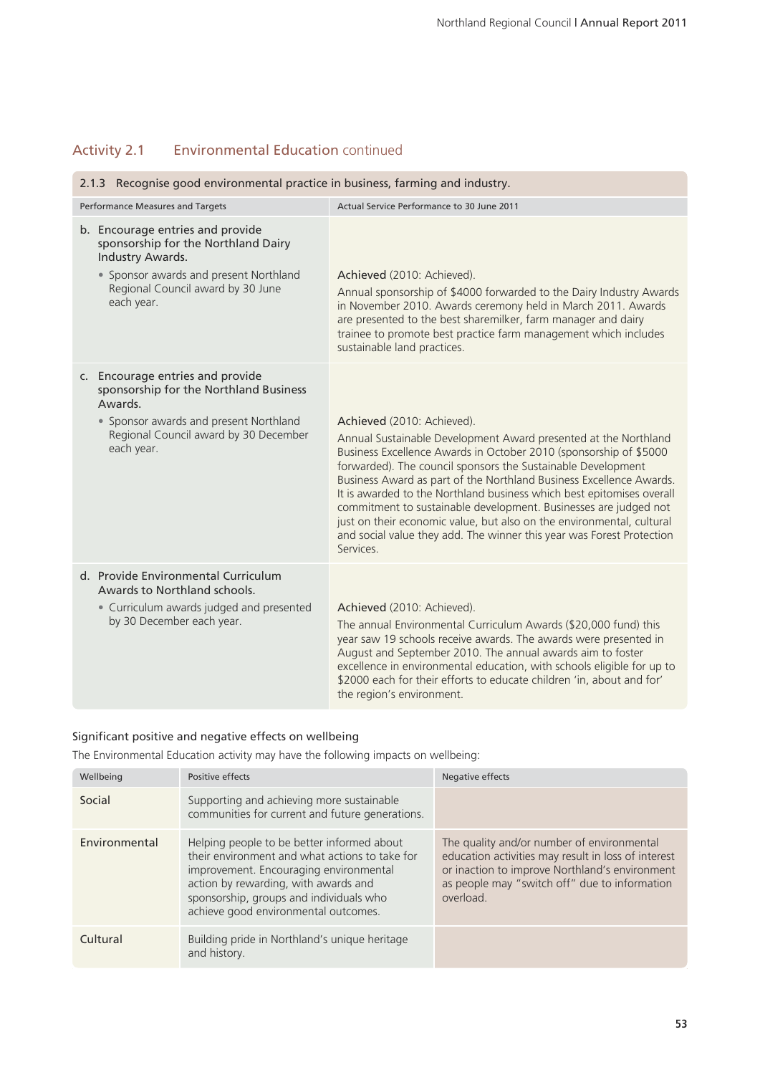# Activity 2.1 Environmental Education continued

| 2.1.3 Recognise good environmental practice in business, farming and industry.                                                                                                                                                                                                                                                                                                                                                                                                                                                                                                                                        |  |  |  |
|-----------------------------------------------------------------------------------------------------------------------------------------------------------------------------------------------------------------------------------------------------------------------------------------------------------------------------------------------------------------------------------------------------------------------------------------------------------------------------------------------------------------------------------------------------------------------------------------------------------------------|--|--|--|
| Actual Service Performance to 30 June 2011                                                                                                                                                                                                                                                                                                                                                                                                                                                                                                                                                                            |  |  |  |
| Achieved (2010: Achieved).<br>Annual sponsorship of \$4000 forwarded to the Dairy Industry Awards<br>in November 2010. Awards ceremony held in March 2011. Awards<br>are presented to the best sharemilker, farm manager and dairy<br>trainee to promote best practice farm management which includes<br>sustainable land practices.                                                                                                                                                                                                                                                                                  |  |  |  |
| Achieved (2010: Achieved).<br>Annual Sustainable Development Award presented at the Northland<br>Business Excellence Awards in October 2010 (sponsorship of \$5000<br>forwarded). The council sponsors the Sustainable Development<br>Business Award as part of the Northland Business Excellence Awards.<br>It is awarded to the Northland business which best epitomises overall<br>commitment to sustainable development. Businesses are judged not<br>just on their economic value, but also on the environmental, cultural<br>and social value they add. The winner this year was Forest Protection<br>Services. |  |  |  |
| Achieved (2010: Achieved).<br>The annual Environmental Curriculum Awards (\$20,000 fund) this<br>year saw 19 schools receive awards. The awards were presented in<br>August and September 2010. The annual awards aim to foster<br>excellence in environmental education, with schools eligible for up to<br>\$2000 each for their efforts to educate children 'in, about and for'<br>the region's environment.                                                                                                                                                                                                       |  |  |  |
|                                                                                                                                                                                                                                                                                                                                                                                                                                                                                                                                                                                                                       |  |  |  |

## Significant positive and negative effects on wellbeing

The Environmental Education activity may have the following impacts on wellbeing:

| Wellbeing     | Positive effects                                                                                                                                                                                                                                                  | Negative effects                                                                                                                                                                                                  |
|---------------|-------------------------------------------------------------------------------------------------------------------------------------------------------------------------------------------------------------------------------------------------------------------|-------------------------------------------------------------------------------------------------------------------------------------------------------------------------------------------------------------------|
| Social        | Supporting and achieving more sustainable<br>communities for current and future generations.                                                                                                                                                                      |                                                                                                                                                                                                                   |
| Environmental | Helping people to be better informed about<br>their environment and what actions to take for<br>improvement. Encouraging environmental<br>action by rewarding, with awards and<br>sponsorship, groups and individuals who<br>achieve good environmental outcomes. | The quality and/or number of environmental<br>education activities may result in loss of interest<br>or inaction to improve Northland's environment<br>as people may "switch off" due to information<br>overload. |
| Cultural      | Building pride in Northland's unique heritage<br>and history.                                                                                                                                                                                                     |                                                                                                                                                                                                                   |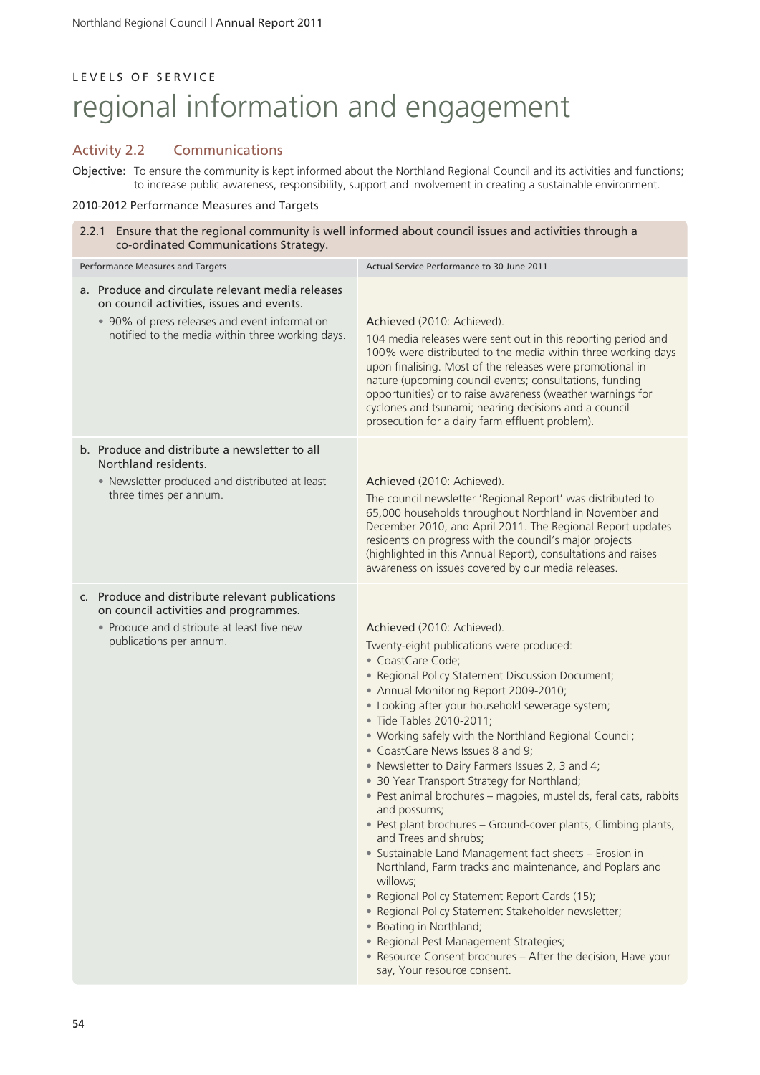## Activity 2.2 Communications

Objective: To ensure the community is kept informed about the Northland Regional Council and its activities and functions; to increase public awareness, responsibility, support and involvement in creating a sustainable environment.

## 2010-2012 Performance Measures and Targets

| 2.2.1 Ensure that the regional community is well informed about council issues and activities through a<br>co-ordinated Communications Strategy.                                                   |                                                                                                                                                                                                                                                                                                                                                                                                                                                                                                                                                                                                                                                                                                                                                                                                                                                                                                                                                                                                                                                                       |  |  |
|----------------------------------------------------------------------------------------------------------------------------------------------------------------------------------------------------|-----------------------------------------------------------------------------------------------------------------------------------------------------------------------------------------------------------------------------------------------------------------------------------------------------------------------------------------------------------------------------------------------------------------------------------------------------------------------------------------------------------------------------------------------------------------------------------------------------------------------------------------------------------------------------------------------------------------------------------------------------------------------------------------------------------------------------------------------------------------------------------------------------------------------------------------------------------------------------------------------------------------------------------------------------------------------|--|--|
| Performance Measures and Targets                                                                                                                                                                   | Actual Service Performance to 30 June 2011                                                                                                                                                                                                                                                                                                                                                                                                                                                                                                                                                                                                                                                                                                                                                                                                                                                                                                                                                                                                                            |  |  |
| a. Produce and circulate relevant media releases<br>on council activities, issues and events.<br>• 90% of press releases and event information<br>notified to the media within three working days. | Achieved (2010: Achieved).<br>104 media releases were sent out in this reporting period and<br>100% were distributed to the media within three working days<br>upon finalising. Most of the releases were promotional in<br>nature (upcoming council events; consultations, funding<br>opportunities) or to raise awareness (weather warnings for<br>cyclones and tsunami; hearing decisions and a council<br>prosecution for a dairy farm effluent problem).                                                                                                                                                                                                                                                                                                                                                                                                                                                                                                                                                                                                         |  |  |
| b. Produce and distribute a newsletter to all<br>Northland residents.<br>• Newsletter produced and distributed at least<br>three times per annum.                                                  | Achieved (2010: Achieved).<br>The council newsletter 'Regional Report' was distributed to<br>65,000 households throughout Northland in November and<br>December 2010, and April 2011. The Regional Report updates<br>residents on progress with the council's major projects<br>(highlighted in this Annual Report), consultations and raises<br>awareness on issues covered by our media releases.                                                                                                                                                                                                                                                                                                                                                                                                                                                                                                                                                                                                                                                                   |  |  |
| c. Produce and distribute relevant publications<br>on council activities and programmes.<br>• Produce and distribute at least five new<br>publications per annum.                                  | Achieved (2010: Achieved).<br>Twenty-eight publications were produced:<br>• CoastCare Code;<br>• Regional Policy Statement Discussion Document;<br>• Annual Monitoring Report 2009-2010;<br>• Looking after your household sewerage system;<br>• Tide Tables 2010-2011;<br>• Working safely with the Northland Regional Council;<br>• CoastCare News Issues 8 and 9;<br>• Newsletter to Dairy Farmers Issues 2, 3 and 4;<br>• 30 Year Transport Strategy for Northland;<br>· Pest animal brochures - magpies, mustelids, feral cats, rabbits<br>and possums;<br>• Pest plant brochures - Ground-cover plants, Climbing plants,<br>and Trees and shrubs;<br>• Sustainable Land Management fact sheets - Erosion in<br>Northland, Farm tracks and maintenance, and Poplars and<br>willows;<br>• Regional Policy Statement Report Cards (15);<br>· Regional Policy Statement Stakeholder newsletter;<br>• Boating in Northland;<br>· Regional Pest Management Strategies;<br>• Resource Consent brochures - After the decision, Have your<br>say, Your resource consent. |  |  |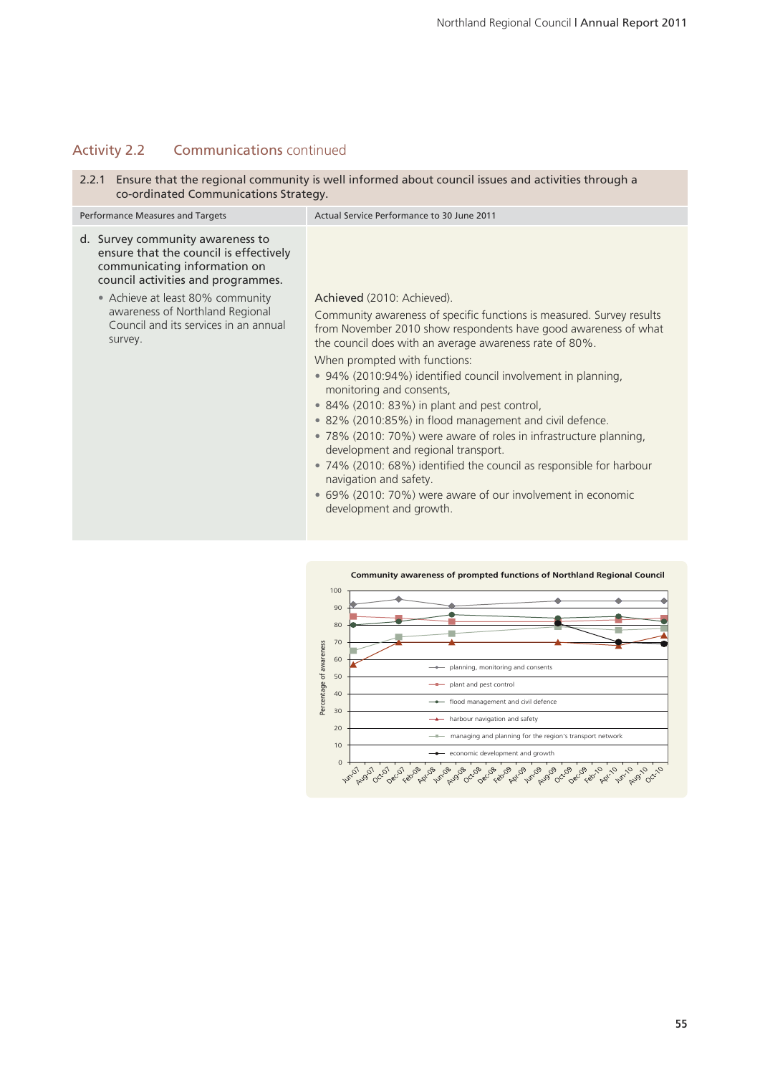# Activity 2.2 Communications continued

2.2.1 Ensure that the regional community is well informed about council issues and activities through a co-ordinated Communications Strategy.

| Performance Measures and Targets                                                                                                                 | Actual Service Performance to 30 June 2011                                                                                                                                                                                                                                                                                                                                                                                                                                        |
|--------------------------------------------------------------------------------------------------------------------------------------------------|-----------------------------------------------------------------------------------------------------------------------------------------------------------------------------------------------------------------------------------------------------------------------------------------------------------------------------------------------------------------------------------------------------------------------------------------------------------------------------------|
| d. Survey community awareness to<br>ensure that the council is effectively<br>communicating information on<br>council activities and programmes. |                                                                                                                                                                                                                                                                                                                                                                                                                                                                                   |
| • Achieve at least 80% community<br>awareness of Northland Regional<br>Council and its services in an annual<br>survey.                          | Achieved (2010: Achieved).<br>Community awareness of specific functions is measured. Survey results<br>from November 2010 show respondents have good awareness of what<br>the council does with an average awareness rate of 80%.<br>When prompted with functions:<br>• 94% (2010:94%) identified council involvement in planning,<br>monitoring and consents,<br>$\bullet$ 84% (2010: 83%) in plant and pest control,<br>• 82% (2010:85%) in flood management and civil defence. |
|                                                                                                                                                  | • 78% (2010: 70%) were aware of roles in infrastructure planning,<br>development and regional transport.<br>• 74% (2010: 68%) identified the council as responsible for harbour<br>navigation and safety.<br>• 69% (2010: 70%) were aware of our involvement in economic<br>development and growth.                                                                                                                                                                               |

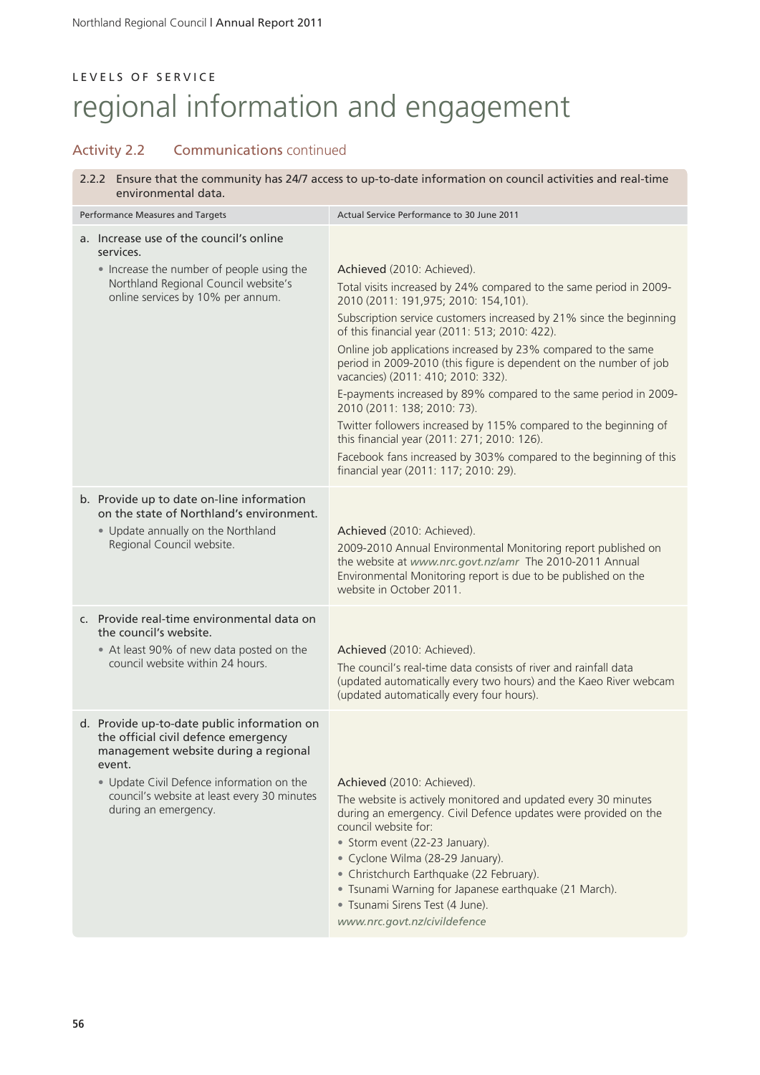## Activity 2.2 Communications continued

2.2.2 Ensure that the community has 24/7 access to up-to-date information on council activities and real-time environmental data.

| Performance Measures and Targets                                                                                                                                                                                                                          | Actual Service Performance to 30 June 2011                                                                                                                                                                                                                                                                                                                                                                                                                                                                                                                                                                                                                                                                                                                                         |
|-----------------------------------------------------------------------------------------------------------------------------------------------------------------------------------------------------------------------------------------------------------|------------------------------------------------------------------------------------------------------------------------------------------------------------------------------------------------------------------------------------------------------------------------------------------------------------------------------------------------------------------------------------------------------------------------------------------------------------------------------------------------------------------------------------------------------------------------------------------------------------------------------------------------------------------------------------------------------------------------------------------------------------------------------------|
| a. Increase use of the council's online<br>services.<br>• Increase the number of people using the<br>Northland Regional Council website's<br>online services by 10% per annum.                                                                            | Achieved (2010: Achieved).<br>Total visits increased by 24% compared to the same period in 2009-<br>2010 (2011: 191,975; 2010: 154,101).<br>Subscription service customers increased by 21% since the beginning<br>of this financial year (2011: 513; 2010: 422).<br>Online job applications increased by 23% compared to the same<br>period in 2009-2010 (this figure is dependent on the number of job<br>vacancies) (2011: 410; 2010: 332).<br>E-payments increased by 89% compared to the same period in 2009-<br>2010 (2011: 138; 2010: 73).<br>Twitter followers increased by 115% compared to the beginning of<br>this financial year (2011: 271; 2010: 126).<br>Facebook fans increased by 303% compared to the beginning of this<br>financial year (2011: 117; 2010: 29). |
| b. Provide up to date on-line information<br>on the state of Northland's environment.<br>• Update annually on the Northland<br>Regional Council website.                                                                                                  | Achieved (2010: Achieved).<br>2009-2010 Annual Environmental Monitoring report published on<br>the website at www.nrc.govt.nz/amr The 2010-2011 Annual<br>Environmental Monitoring report is due to be published on the<br>website in October 2011.                                                                                                                                                                                                                                                                                                                                                                                                                                                                                                                                |
| c. Provide real-time environmental data on<br>the council's website.<br>• At least 90% of new data posted on the<br>council website within 24 hours.                                                                                                      | Achieved (2010: Achieved).<br>The council's real-time data consists of river and rainfall data<br>(updated automatically every two hours) and the Kaeo River webcam<br>(updated automatically every four hours).                                                                                                                                                                                                                                                                                                                                                                                                                                                                                                                                                                   |
| d. Provide up-to-date public information on<br>the official civil defence emergency<br>management website during a regional<br>event.<br>. Update Civil Defence information on the<br>council's website at least every 30 minutes<br>during an emergency. | Achieved (2010: Achieved).<br>The website is actively monitored and updated every 30 minutes<br>during an emergency. Civil Defence updates were provided on the<br>council website for:<br>• Storm event (22-23 January).<br>• Cyclone Wilma (28-29 January).<br>• Christchurch Earthquake (22 February).<br>• Tsunami Warning for Japanese earthquake (21 March).<br>· Tsunami Sirens Test (4 June).<br>www.nrc.govt.nz/civildefence                                                                                                                                                                                                                                                                                                                                              |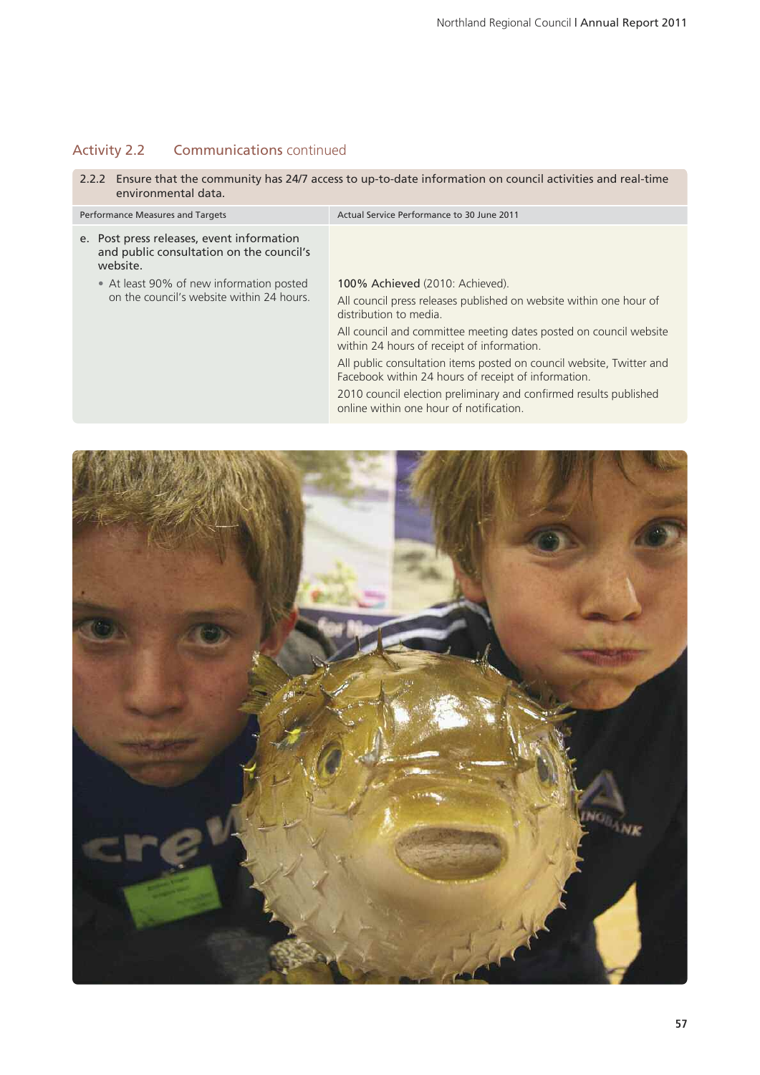# Activity 2.2 Communications continued

2.2.2 Ensure that the community has 24/7 access to up-to-date information on council activities and real-time environmental data.

| Performance Measures and Targets                                                                  | Actual Service Performance to 30 June 2011                                                                                  |
|---------------------------------------------------------------------------------------------------|-----------------------------------------------------------------------------------------------------------------------------|
| e. Post press releases, event information<br>and public consultation on the council's<br>website. |                                                                                                                             |
| • At least 90% of new information posted<br>on the council's website within 24 hours              | <b>100% Achieved (2010: Achieved).</b>                                                                                      |
|                                                                                                   | All council press releases published on website within one hour of<br>distribution to media                                 |
|                                                                                                   | All council and committee meeting dates posted on council website<br>within 24 hours of receipt of information.             |
|                                                                                                   | All public consultation items posted on council website, Twitter and<br>Facebook within 24 hours of receipt of information. |
|                                                                                                   | 2010 council election preliminary and confirmed results published<br>online within one hour of notification.                |

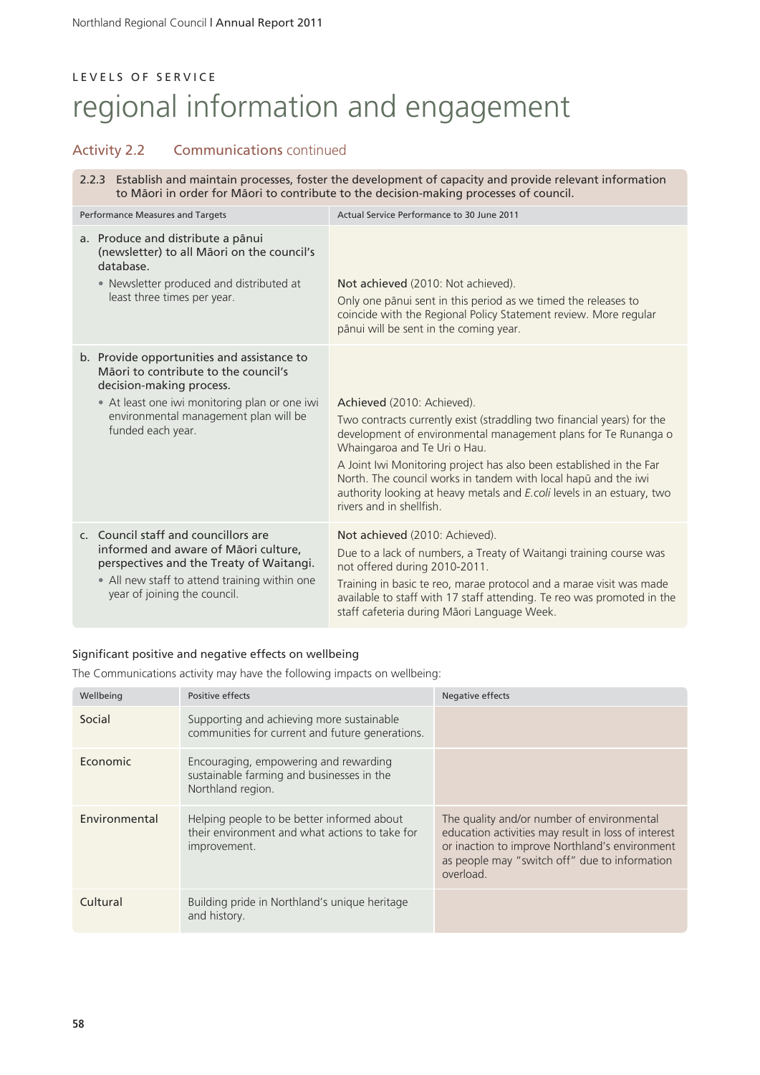## Activity 2.2 Communications continued

2.2.3 Establish and maintain processes, foster the development of capacity and provide relevant information to Mäori in order for Mäori to contribute to the decision-making processes of council.

| Performance Measures and Targets                                                                                                                                                                                              | Actual Service Performance to 30 June 2011                                                                                                                                                                                                                                                                                                                                                                                                           |
|-------------------------------------------------------------------------------------------------------------------------------------------------------------------------------------------------------------------------------|------------------------------------------------------------------------------------------------------------------------------------------------------------------------------------------------------------------------------------------------------------------------------------------------------------------------------------------------------------------------------------------------------------------------------------------------------|
| a. Produce and distribute a pānui<br>(newsletter) to all Māori on the council's<br>database.<br>• Newsletter produced and distributed at<br>least three times per year.                                                       | Not achieved (2010: Not achieved).<br>Only one pānui sent in this period as we timed the releases to<br>coincide with the Regional Policy Statement review. More regular<br>pānui will be sent in the coming year.                                                                                                                                                                                                                                   |
| b. Provide opportunities and assistance to<br>Māori to contribute to the council's<br>decision-making process.<br>• At least one iwi monitoring plan or one iwi<br>environmental management plan will be<br>funded each year. | Achieved (2010: Achieved).<br>Two contracts currently exist (straddling two financial years) for the<br>development of environmental management plans for Te Runanga o<br>Whaingaroa and Te Uri o Hau.<br>A Joint Iwi Monitoring project has also been established in the Far<br>North. The council works in tandem with local hapū and the iwi<br>authority looking at heavy metals and E.coli levels in an estuary, two<br>rivers and in shellfish |
| c. Council staff and councillors are<br>informed and aware of Māori culture,<br>perspectives and the Treaty of Waitangi.<br>• All new staff to attend training within one<br>year of joining the council.                     | Not achieved (2010: Achieved).<br>Due to a lack of numbers, a Treaty of Waitangi training course was<br>not offered during 2010-2011.<br>Training in basic te reo, marae protocol and a marae visit was made<br>available to staff with 17 staff attending. Te reo was promoted in the<br>staff cafeteria during Māori Language Week.                                                                                                                |

## Significant positive and negative effects on wellbeing

The Communications activity may have the following impacts on wellbeing:

| Wellbeing     | Positive effects                                                                                             | Negative effects                                                                                                                                                                                                  |
|---------------|--------------------------------------------------------------------------------------------------------------|-------------------------------------------------------------------------------------------------------------------------------------------------------------------------------------------------------------------|
| Social        | Supporting and achieving more sustainable<br>communities for current and future generations.                 |                                                                                                                                                                                                                   |
| Economic      | Encouraging, empowering and rewarding<br>sustainable farming and businesses in the<br>Northland region.      |                                                                                                                                                                                                                   |
| Environmental | Helping people to be better informed about<br>their environment and what actions to take for<br>improvement. | The quality and/or number of environmental<br>education activities may result in loss of interest<br>or inaction to improve Northland's environment<br>as people may "switch off" due to information<br>overload. |
| Cultural      | Building pride in Northland's unique heritage<br>and history.                                                |                                                                                                                                                                                                                   |